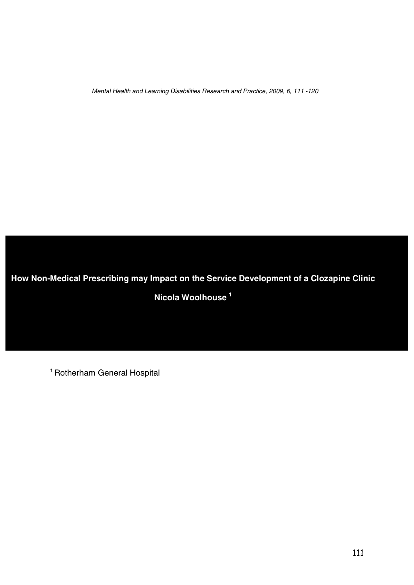Mental Health and Learning Disabilities Research and Practice, 2009, 6, <sup>111</sup> -120

**How Non-Medical Prescribing may Impact on the Service Development of a Clozapine Clinic**

**Nicola Woolhouse <sup>1</sup>**

<sup>1</sup> Rotherham General Hospital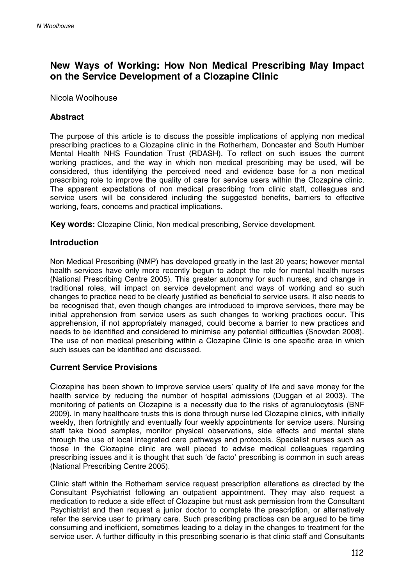# **New Ways of Working: How Non Medical Prescribing May Impact on the Service Development of a Clozapine Clinic**

#### Nicola Woolhouse

## **Abstract**

The purpose of this article is to discuss the possible implications of applying non medical prescribing practices to a Clozapine clinic in the Rotherham, Doncaster and South Humber Mental Health NHS Foundation Trust (RDASH). To reflect on such issues the current working practices, and the way in which non medical prescribing may be used, will be considered, thus identifying the perceived need and evidence base for a non medical prescribing role to improve the quality of care for service users within the Clozapine clinic. The apparent expectations of non medical prescribing from clinic staff, colleagues and service users will be considered including the suggested benefits, barriers to effective working, fears, concerns and practical implications.

**Key words:** Clozapine Clinic, Non medical prescribing, Service development.

#### **Introduction**

Non Medical Prescribing (NMP) has developed greatly in the last 20 years; however mental health services have only more recently begun to adopt the role for mental health nurses (National Prescribing Centre 2005). This greater autonomy for such nurses, and change in traditional roles, will impact on service development and ways of working and so such changes to practice need to be clearly justified as beneficial to service users. It also needs to be recognised that, even though changes are introduced to improve services, there may be initial apprehension from service users as such changes to working practices occur. This apprehension, if not appropriately managed, could become a barrier to new practices and needs to be identified and considered to minimise any potential difficulties (Snowden 2008). The use of non medical prescribing within a Clozapine Clinic is one specific area in which such issues can be identified and discussed.

## **Current Service Provisions**

Clozapine has been shown to improve service users' quality of life and save money for the health service by reducing the number of hospital admissions (Duggan et al 2003). The monitoring of patients on Clozapine is a necessity due to the risks of agranulocytosis (BNF 2009). In many healthcare trusts this is done through nurse led Clozapine clinics, with initially weekly, then fortnightly and eventually four weekly appointments for service users. Nursing staff take blood samples, monitor physical observations, side effects and mental state through the use of local integrated care pathways and protocols. Specialist nurses such as those in the Clozapine clinic are well placed to advise medical colleagues regarding prescribing issues and it is thought that such 'de facto' prescribing is common in such areas (National Prescribing Centre 2005).

Clinic staff within the Rotherham service request prescription alterations as directed by the Consultant Psychiatrist following an outpatient appointment. They may also request a medication to reduce a side effect of Clozapine but must ask permission from the Consultant Psychiatrist and then request a junior doctor to complete the prescription, or alternatively refer the service user to primary care. Such prescribing practices can be argued to be time consuming and inefficient, sometimes leading to a delay in the changes to treatment for the service user. A further difficulty in this prescribing scenario is that clinic staff and Consultants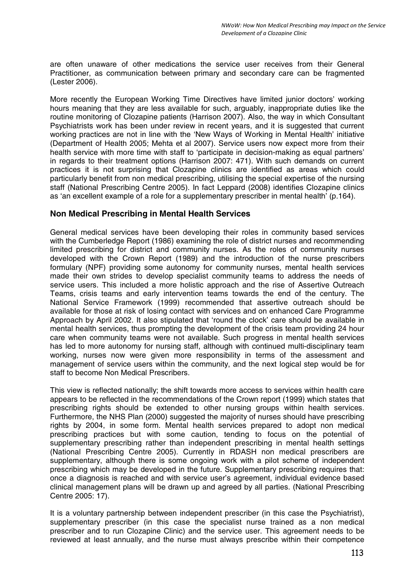are often unaware of other medications the service user receives from their General Practitioner, as communication between primary and secondary care can be fragmented (Lester 2006).

More recently the European Working Time Directives have limited junior doctors' working hours meaning that they are less available for such, arguably, inappropriate duties like the routine monitoring of Clozapine patients (Harrison 2007). Also, the way in which Consultant Psychiatrists work has been under review in recent years, and it is suggested that current working practices are not in line with the 'New Ways of Working in Mental Health' initiative (Department of Health 2005; Mehta et al 2007). Service users now expect more from their health service with more time with staff to 'participate in decision-making as equal partners' in regards to their treatment options (Harrison 2007: 471). With such demands on current practices it is not surprising that Clozapine clinics are identified as areas which could particularly benefit from non medical prescribing, utilising the special expertise of the nursing staff (National Prescribing Centre 2005). In fact Leppard (2008) identifies Clozapine clinics as 'an excellent example of a role for a supplementary prescriber in mental health' (p.164).

#### **Non Medical Prescribing in Mental Health Services**

General medical services have been developing their roles in community based services with the Cumberledge Report (1986) examining the role of district nurses and recommending limited prescribing for district and community nurses. As the roles of community nurses developed with the Crown Report (1989) and the introduction of the nurse prescribers formulary (NPF) providing some autonomy for community nurses, mental health services made their own strides to develop specialist community teams to address the needs of service users. This included a more holistic approach and the rise of Assertive Outreach Teams, crisis teams and early intervention teams towards the end of the century. The National Service Framework (1999) recommended that assertive outreach should be available for those at risk of losing contact with services and on enhanced Care Programme Approach by April 2002. It also stipulated that 'round the clock' care should be available in mental health services, thus prompting the development of the crisis team providing 24 hour care when community teams were not available. Such progress in mental health services has led to more autonomy for nursing staff, although with continued multi-disciplinary team working, nurses now were given more responsibility in terms of the assessment and management of service users within the community, and the next logical step would be for staff to become Non Medical Prescribers.

This view is reflected nationally; the shift towards more access to services within health care appears to be reflected in the recommendations of the Crown report (1999) which states that prescribing rights should be extended to other nursing groups within health services. Furthermore, the NHS Plan (2000) suggested the majority of nurses should have prescribing rights by 2004, in some form. Mental health services prepared to adopt non medical prescribing practices but with some caution, tending to focus on the potential of supplementary prescribing rather than independent prescribing in mental health settings (National Prescribing Centre 2005). Currently in RDASH non medical prescribers are supplementary, although there is some ongoing work with a pilot scheme of independent prescribing which may be developed in the future. Supplementary prescribing requires that: once a diagnosis is reached and with service user's agreement, individual evidence based clinical management plans will be drawn up and agreed by all parties. (National Prescribing Centre 2005: 17).

It is a voluntary partnership between independent prescriber (in this case the Psychiatrist), supplementary prescriber (in this case the specialist nurse trained as a non medical prescriber and to run Clozapine Clinic) and the service user. This agreement needs to be reviewed at least annually, and the nurse must always prescribe within their competence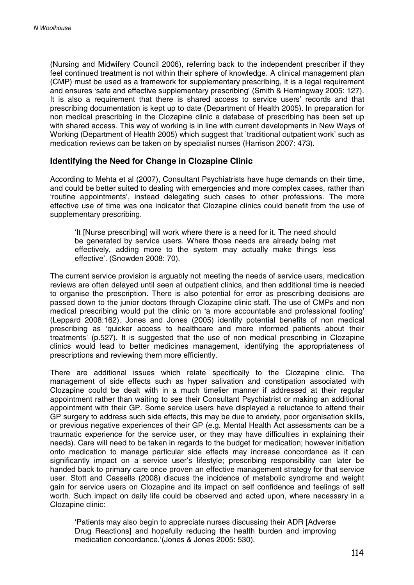(Nursing and Midwifery Council 2006), referring back to the independent prescriber if they feel continued treatment is not within their sphere of knowledge. A clinical management plan (CMP) must be used as a framework for supplementary prescribing, it is a legal requirement and ensures 'safe and effective supplementary prescribing' (Smith & Hemingway 2005: 127). It is also a requirement that there is shared access to service users' records and that prescribing documentation is kept up to date (Department of Health 2005). In preparation for non medical prescribing in the Clozapine clinic a database of prescribing has been set up with shared access. This way of working is in line with current developments in New Ways of Working (Department of Health 2005) which suggest that 'traditional outpatient work' such as medication reviews can be taken on by specialist nurses (Harrison 2007: 473).

#### **Identifying the Need for Change in Clozapine Clinic**

According to Mehta et al (2007), Consultant Psychiatrists have huge demands on their time, and could be better suited to dealing with emergencies and more complex cases, rather than 'routine appointments', instead delegating such cases to other professions. The more effective use of time was one indicator that Clozapine clinics could benefit from the use of supplementary prescribing.

'It [Nurse prescribing] will work where there is a need for it. The need should be generated by service users. Where those needs are already being met effectively, adding more to the system may actually make things less effective'. (Snowden 2008: 70).

The current service provision is arguably not meeting the needs of service users, medication reviews are often delayed until seen at outpatient clinics, and then additional time is needed to organise the prescription. There is also potential for error as prescribing decisions are passed down to the junior doctors through Clozapine clinic staff. The use of CMPs and non medical prescribing would put the clinic on 'a more accountable and professional footing' (Leppard 2008:162). Jones and Jones (2005) identify potential benefits of non medical prescribing as 'quicker access to healthcare and more informed patients about their treatments' (p.527). It is suggested that the use of non medical prescribing in Clozapine clinics would lead to better medicines management, identifying the appropriateness of prescriptions and reviewing them more efficiently.

There are additional issues which relate specifically to the Clozapine clinic. The management of side effects such as hyper salivation and constipation associated with Clozapine could be dealt with in a much timelier manner if addressed at their regular appointment rather than waiting to see their Consultant Psychiatrist or making an additional appointment with their GP. Some service users have displayed a reluctance to attend their GP surgery to address such side effects, this may be due to anxiety, poor organisation skills, or previous negative experiences of their GP (e.g. Mental Health Act assessments can be a traumatic experience for the service user, or they may have difficulties in explaining their needs). Care will need to be taken in regards to the budget for medication; however initiation onto medication to manage particular side effects may increase concordance as it can significantly impact on a service user's lifestyle; prescribing responsibility can later be handed back to primary care once proven an effective management strategy for that service user. Stott and Cassells (2008) discuss the incidence of metabolic syndrome and weight gain for service users on Clozapine and its impact on self confidence and feelings of self worth. Such impact on daily life could be observed and acted upon, where necessary in a Clozapine clinic:

'Patients may also begin to appreciate nurses discussing their ADR [Adverse Drug Reactions] and hopefully reducing the health burden and improving medication concordance.'(Jones & Jones 2005: 530).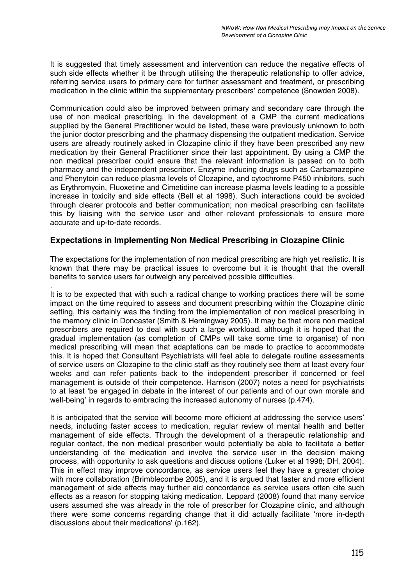It is suggested that timely assessment and intervention can reduce the negative effects of such side effects whether it be through utilising the therapeutic relationship to offer advice, referring service users to primary care for further assessment and treatment, or prescribing medication in the clinic within the supplementary prescribers' competence (Snowden 2008).

Communication could also be improved between primary and secondary care through the use of non medical prescribing. In the development of a CMP the current medications supplied by the General Practitioner would be listed, these were previously unknown to both the junior doctor prescribing and the pharmacy dispensing the outpatient medication. Service users are already routinely asked in Clozapine clinic if they have been prescribed any new medication by their General Practitioner since their last appointment. By using a CMP the non medical prescriber could ensure that the relevant information is passed on to both pharmacy and the independent prescriber. Enzyme inducing drugs such as Carbamazepine and Phenytoin can reduce plasma levels of Clozapine, and cytochrome P450 inhibitors, such as Erythromycin, Fluoxetine and Cimetidine can increase plasma levels leading to a possible increase in toxicity and side effects (Bell et al 1998). Such interactions could be avoided through clearer protocols and better communication; non medical prescribing can facilitate this by liaising with the service user and other relevant professionals to ensure more accurate and up-to-date records.

# **Expectations in Implementing Non Medical Prescribing in Clozapine Clinic**

The expectations for the implementation of non medical prescribing are high yet realistic. It is known that there may be practical issues to overcome but it is thought that the overall benefits to service users far outweigh any perceived possible difficulties. .

It is to be expected that with such a radical change to working practices there will be some impact on the time required to assess and document prescribing within the Clozapine clinic setting, this certainly was the finding from the implementation of non medical prescribing in the memory clinic in Doncaster (Smith & Hemingway 2005). It may be that more non medical prescribers are required to deal with such a large workload, although it is hoped that the gradual implementation (as completion of CMPs will take some time to organise) of non medical prescribing will mean that adaptations can be made to practice to accommodate this. It is hoped that Consultant Psychiatrists will feel able to delegate routine assessments of service users on Clozapine to the clinic staff as they routinely see them at least every four weeks and can refer patients back to the independent prescriber if concerned or feel management is outside of their competence. Harrison (2007) notes a need for psychiatrists to at least 'be engaged in debate in the interest of our patients and of our own morale and well-being' in regards to embracing the increased autonomy of nurses (p.474).

It is anticipated that the service will become more efficient at addressing the service users' needs, including faster access to medication, regular review of mental health and better management of side effects. Through the development of a therapeutic relationship and regular contact, the non medical prescriber would potentially be able to facilitate a better understanding of the medication and involve the service user in the decision making process, with opportunity to ask questions and discuss options (Luker et al 1998; DH, 2004). This in effect may improve concordance, as service users feel they have a greater choice with more collaboration (Brimblecombe 2005), and it is argued that faster and more efficient management of side effects may further aid concordance as service users often cite such effects as a reason for stopping taking medication. Leppard (2008) found that many service users assumed she was already in the role of prescriber for Clozapine clinic, and although there were some concerns regarding change that it did actually facilitate 'more in-depth discussions about their medications' (p.162).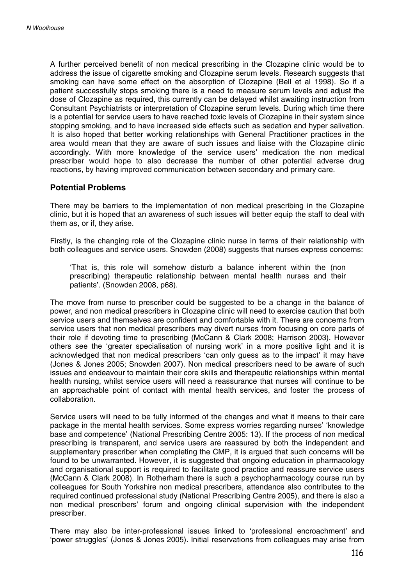A further perceived benefit of non medical prescribing in the Clozapine clinic would be to address the issue of cigarette smoking and Clozapine serum levels. Research suggests that smoking can have some effect on the absorption of Clozapine (Bell et al 1998). So if a patient successfully stops smoking there is a need to measure serum levels and adjust the dose of Clozapine as required, this currently can be delayed whilst awaiting instruction from Consultant Psychiatrists or interpretation of Clozapine serum levels. During which time there is a potential for service users to have reached toxic levels of Clozapine in their system since stopping smoking, and to have increased side effects such as sedation and hyper salivation. It is also hoped that better working relationships with General Practitioner practices in the area would mean that they are aware of such issues and liaise with the Clozapine clinic accordingly. With more knowledge of the service users' medication the non medical prescriber would hope to also decrease the number of other potential adverse drug reactions, by having improved communication between secondary and primary care.

#### **Potential Problems**

There may be barriers to the implementation of non medical prescribing in the Clozapine clinic, but it is hoped that an awareness of such issues will better equip the staff to deal with them as, or if, they arise.

Firstly, is the changing role of the Clozapine clinic nurse in terms of their relationship with both colleagues and service users. Snowden (2008) suggests that nurses express concerns:

That is, this role will somehow disturb a balance inherent within the (non prescribing) therapeutic relationship between mental health nurses and their patients'. (Snowden 2008, p68).

The move from nurse to prescriber could be suggested to be a change in the balance of power, and non medical prescribers in Clozapine clinic will need to exercise caution that both service users and themselves are confident and comfortable with it. There are concerns from service users that non medical prescribers may divert nurses from focusing on core parts of their role if devoting time to prescribing (McCann & Clark 2008; Harrison 2003). However others see the 'greater specialisation of nursing work' in a more positive light and it is acknowledged that non medical prescribers 'can only guess as to the impact' it may have (Jones & Jones 2005; Snowden 2007). Non medical prescribers need to be aware of such issues and endeavour to maintain their core skills and therapeutic relationships within mental health nursing, whilst service users will need a reassurance that nurses will continue to be an approachable point of contact with mental health services, and foster the process of collaboration.

Service users will need to be fully informed of the changes and what it means to their care package in the mental health services. Some express worries regarding nurses' 'knowledge base and competence' (National Prescribing Centre 2005: 13). If the process of non medical prescribing is transparent, and service users are reassured by both the independent and supplementary prescriber when completing the CMP, it is argued that such concerns will be found to be unwarranted. However, it is suggested that ongoing education in pharmacology and organisational support is required to facilitate good practice and reassure service users (McCann & Clark 2008). In Rotherham there is such a psychopharmacology course run by colleagues for South Yorkshire non medical prescribers, attendance also contributes to the required continued professional study (National Prescribing Centre 2005), and there is also a non medical prescribers' forum and ongoing clinical supervision with the independent prescriber.

There may also be inter-professional issues linked to 'professional encroachment' and 'power struggles' (Jones & Jones 2005). Initial reservations from colleagues may arise from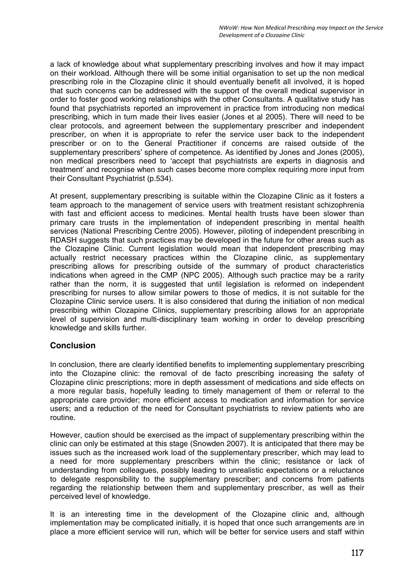a lack of knowledge about what supplementary prescribing involves and how it may impact on their workload. Although there will be some initial organisation to set up the non medical prescribing role in the Clozapine clinic it should eventually benefit all involved, it is hoped that such concerns can be addressed with the support of the overall medical supervisor in order to foster good working relationships with the other Consultants. A qualitative study has found that psychiatrists reported an improvement in practice from introducing non medical prescribing, which in turn made their lives easier (Jones et al 2005). There will need to be clear protocols, and agreement between the supplementary prescriber and independent prescriber, on when it is appropriate to refer the service user back to the independent prescriber or on to the General Practitioner if concerns are raised outside of the supplementary prescribers' sphere of competence. As identified by Jones and Jones (2005), non medical prescribers need to 'accept that psychiatrists are experts in diagnosis and treatment' and recognise when such cases become more complex requiring more input from their Consultant Psychiatrist (p.534).

At present, supplementary prescribing is suitable within the Clozapine Clinic as it fosters a team approach to the management of service users with treatment resistant schizophrenia with fast and efficient access to medicines. Mental health trusts have been slower than primary care trusts in the implementation of independent prescribing in mental health services (National Prescribing Centre 2005). However, piloting of independent prescribing in RDASH suggests that such practices may be developed in the future for other areas such as the Clozapine Clinic. Current legislation would mean that independent prescribing may actually restrict necessary practices within the Clozapine clinic, as supplementary prescribing allows for prescribing outside of the summary of product characteristics indications when agreed in the CMP (NPC 2005). Although such practice may be a rarity rather than the norm, it is suggested that until legislation is reformed on independent prescribing for nurses to allow similar powers to those of medics, it is not suitable for the Clozapine Clinic service users. It is also considered that during the initiation of non medical prescribing within Clozapine Clinics, supplementary prescribing allows for an appropriate level of supervision and multi-disciplinary team working in order to develop prescribing knowledge and skills further.

# **Conclusion**

In conclusion, there are clearly identified benefits to implementing supplementary prescribing into the Clozapine clinic: the removal of de facto prescribing increasing the safety of Clozapine clinic prescriptions; more in depth assessment of medications and side effects on a more regular basis, hopefully leading to timely management of them or referral to the appropriate care provider; more efficient access to medication and information for service users; and a reduction of the need for Consultant psychiatrists to review patients who are routine.

However, caution should be exercised as the impact of supplementary prescribing within the clinic can only be estimated at this stage (Snowden 2007). It is anticipated that there may be issues such as the increased work load of the supplementary prescriber, which may lead to a need for more supplementary prescribers within the clinic; resistance or lack of understanding from colleagues, possibly leading to unrealistic expectations or a reluctance to delegate responsibility to the supplementary prescriber; and concerns from patients regarding the relationship between them and supplementary prescriber, as well as their perceived level of knowledge.

It is an interesting time in the development of the Clozapine clinic and, although implementation may be complicated initially, it is hoped that once such arrangements are in place a more efficient service will run, which will be better for service users and staff within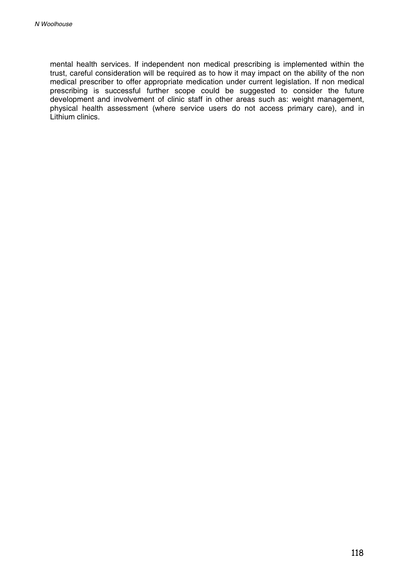mental health services. If independent non medical prescribing is implemented within the trust, careful consideration will be required as to how it may impact on the ability of the non medical prescriber to offer appropriate medication under current legislation. If non medical prescribing is successful further scope could be suggested to consider the future development and involvement of clinic staff in other areas such as: weight management, physical health assessment (where service users do not access primary care), and in Lithium clinics.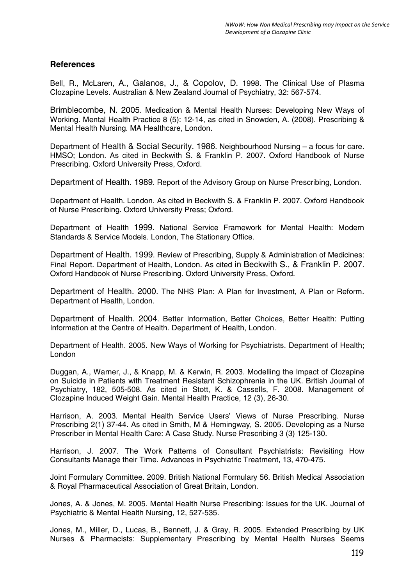## **References**

Bell, R., McLaren, A., Galanos, J., & Copolov, D. 1998. The Clinical Use of Plasma Clozapine Levels. Australian & New Zealand Journal of Psychiatry, 32: 567-574.

Brimblecombe, N. 2005. Medication & Mental Health Nurses: Developing New Ways of Working. Mental Health Practice 8 (5): 12-14, as cited in Snowden, A. (2008). Prescribing & Mental Health Nursing. MA Healthcare, London.

Department of Health & Social Security. 1986. Neighbourhood Nursing – a focus for care. HMSO; London. As cited in Beckwith S. & Franklin P. 2007. Oxford Handbook of Nurse Prescribing. Oxford University Press, Oxford.

Department of Health. 1989. Report of the Advisory Group on Nurse Prescribing, London.

Department of Health. London. As cited in Beckwith S. & Franklin P. 2007. Oxford Handbook of Nurse Prescribing. Oxford University Press; Oxford.

Department of Health 1999. National Service Framework for Mental Health: Modern Standards & Service Models. London, The Stationary Office.

Department of Health. 1999. Review of Prescribing, Supply & Administration of Medicines: Final Report. Department of Health, London. As cited in Beckwith S., & Franklin P. 2007. Oxford Handbook of Nurse Prescribing. Oxford University Press, Oxford.

Department of Health. 2000. The NHS Plan: A Plan for Investment, A Plan or Reform. Department of Health, London.

Department of Health. 2004. Better Information, Better Choices, Better Health: Putting Information at the Centre of Health. Department of Health, London.

Department of Health. 2005. New Ways of Working for Psychiatrists. Department of Health; London

Duggan, A., Warner, J., & Knapp, M. & Kerwin, R. 2003. Modelling the Impact of Clozapine on Suicide in Patients with Treatment Resistant Schizophrenia in the UK. British Journal of Psychiatry, 182, 505-508. As cited in Stott, K. & Cassells, F. 2008. Management of Clozapine Induced Weight Gain. Mental Health Practice, 12 (3), 26-30.

Harrison, A. 2003. Mental Health Service Users' Views of Nurse Prescribing. Nurse Prescribing 2(1) 37-44. As cited in Smith, M & Hemingway, S. 2005. Developing as a Nurse Prescriber in Mental Health Care: A Case Study. Nurse Prescribing3(3) 125-130.

Harrison, J. 2007. The Work Patterns of Consultant Psychiatrists: Revisiting How Consultants Manage their Time. Advances in Psychiatric Treatment, 13, 470-475.

Joint Formulary Committee. 2009. British National Formulary 56. British Medical Association & Royal Pharmaceutical Association of Great Britain, London.

Jones, A. & Jones, M. 2005. Mental Health Nurse Prescribing: Issues for the UK. Journal of Psychiatric & Mental Health Nursing, 12, 527-535.

Jones, M., Miller, D., Lucas, B., Bennett, J. & Gray, R. 2005. Extended Prescribing by UK Nurses & Pharmacists: Supplementary Prescribing by Mental Health Nurses Seems